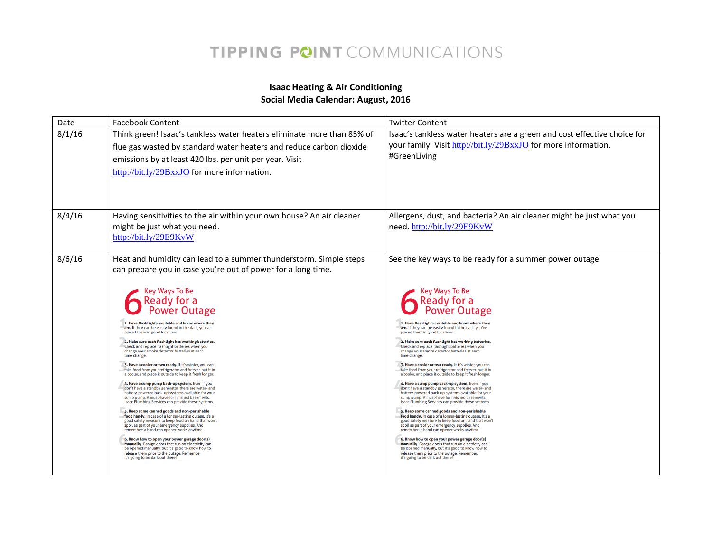#### **Isaac Heating & Air Conditioning Social Media Calendar: August, 2016**

| Date   | <b>Facebook Content</b>                                                                                                                                                                                                                                                                                                                                                                                                                                                                                                                                                                                                                                                                                                                                                                                                                                                                                                                                                                                                                                                                                                                                                                                                                                                                                                                                                                                                                                                                   | <b>Twitter Content</b>                                                                                                                                                                                                                                                                                                                                                                                                                                                                                                                                                                                                                                                                                                                                                                                                                                                                                                                                                                                                                                                                                                                                                                                                                                                                                                                                                                                         |
|--------|-------------------------------------------------------------------------------------------------------------------------------------------------------------------------------------------------------------------------------------------------------------------------------------------------------------------------------------------------------------------------------------------------------------------------------------------------------------------------------------------------------------------------------------------------------------------------------------------------------------------------------------------------------------------------------------------------------------------------------------------------------------------------------------------------------------------------------------------------------------------------------------------------------------------------------------------------------------------------------------------------------------------------------------------------------------------------------------------------------------------------------------------------------------------------------------------------------------------------------------------------------------------------------------------------------------------------------------------------------------------------------------------------------------------------------------------------------------------------------------------|----------------------------------------------------------------------------------------------------------------------------------------------------------------------------------------------------------------------------------------------------------------------------------------------------------------------------------------------------------------------------------------------------------------------------------------------------------------------------------------------------------------------------------------------------------------------------------------------------------------------------------------------------------------------------------------------------------------------------------------------------------------------------------------------------------------------------------------------------------------------------------------------------------------------------------------------------------------------------------------------------------------------------------------------------------------------------------------------------------------------------------------------------------------------------------------------------------------------------------------------------------------------------------------------------------------------------------------------------------------------------------------------------------------|
| 8/1/16 | Think green! Isaac's tankless water heaters eliminate more than 85% of<br>flue gas wasted by standard water heaters and reduce carbon dioxide<br>emissions by at least 420 lbs. per unit per year. Visit<br>http://bit.ly/29BxxJO for more information.                                                                                                                                                                                                                                                                                                                                                                                                                                                                                                                                                                                                                                                                                                                                                                                                                                                                                                                                                                                                                                                                                                                                                                                                                                   | Isaac's tankless water heaters are a green and cost effective choice for<br>your family. Visit http://bit.ly/29BxxJO for more information.<br>#GreenLiving                                                                                                                                                                                                                                                                                                                                                                                                                                                                                                                                                                                                                                                                                                                                                                                                                                                                                                                                                                                                                                                                                                                                                                                                                                                     |
| 8/4/16 | Having sensitivities to the air within your own house? An air cleaner<br>might be just what you need.<br>http://bit.ly/29E9KvW                                                                                                                                                                                                                                                                                                                                                                                                                                                                                                                                                                                                                                                                                                                                                                                                                                                                                                                                                                                                                                                                                                                                                                                                                                                                                                                                                            | Allergens, dust, and bacteria? An air cleaner might be just what you<br>need.http://bit.ly/29E9KvW                                                                                                                                                                                                                                                                                                                                                                                                                                                                                                                                                                                                                                                                                                                                                                                                                                                                                                                                                                                                                                                                                                                                                                                                                                                                                                             |
| 8/6/16 | Heat and humidity can lead to a summer thunderstorm. Simple steps<br>can prepare you in case you're out of power for a long time.<br><b>Key Ways To Be</b><br>Ready for a<br>Power Outage<br>1. Have flashlights available and know where they<br>are. If they can be easily found in the dark, you've<br>placed them in good locations.<br>2. Make sure each flashlight has working batteries.<br>Check and replace flashlight batteries when you<br>change your smoke detector batteries at each<br>time change.<br>3. Have a cooler or two ready. If it's winter, you can<br>take food from your refrigerator and freezer, put it in<br>a cooler, and place it outside to keep it fresh longer.<br>4. Have a sump pump back-up system. Even if you<br>don't have a standby generator, there are water- and<br>battery-powered back-up systems available for your<br>sump pump. A must-have for finished basements.<br>Isaac Plumbing Services can provide these systems.<br>5. Keep some canned goods and non-perishable<br>food handy. In case of a longer-lasting outage, it's a<br>good safety measure to keep food on hand that won't<br>spoil as part of your emergency supplies. And<br>remember: a hand can opener works anytime.<br>6. Know how to open your power garage door(s)<br>manually. Garage doors that run on electricity can<br>be opened manually, but it's good to know how to<br>release them prior to the outage. Remember,<br>it's going to be dark out there! | See the key ways to be ready for a summer power outage<br><b>Key Ways To Be</b><br>Ready for a<br>Power Outage<br>1. Have flashlights available and know where they<br>are. If they can be easily found in the dark, you've<br>placed them in good locations.<br>2. Make sure each flashlight has working batteries.<br>Check and replace flashlight batteries when you<br>change your smoke detector batteries at each<br>time change.<br>3. Have a cooler or two ready. If it's winter, you can<br>take food from your refrigerator and freezer, put it in<br>a cooler, and place it outside to keep it fresh longer.<br>4. Have a sump pump back-up system. Even if you<br>don't have a standby generator, there are water- and<br>battery-powered back-up systems available for your<br>sump pump. A must-have for finished basements.<br>Isaac Plumbing Services can provide these systems.<br>5. Keep some canned goods and non-perishable<br>food handy. In case of a longer-lasting outage, it's a<br>good safety measure to keep food on hand that won't<br>spoil as part of your emergency supplies. And<br>remember: a hand can opener works anytime.<br>6. Know how to open your power garage door(s)<br>manually. Garage doors that run on electricity can<br>be opened manually, but it's good to know how to<br>release them prior to the outage. Remember,<br>it's going to be dark out there! |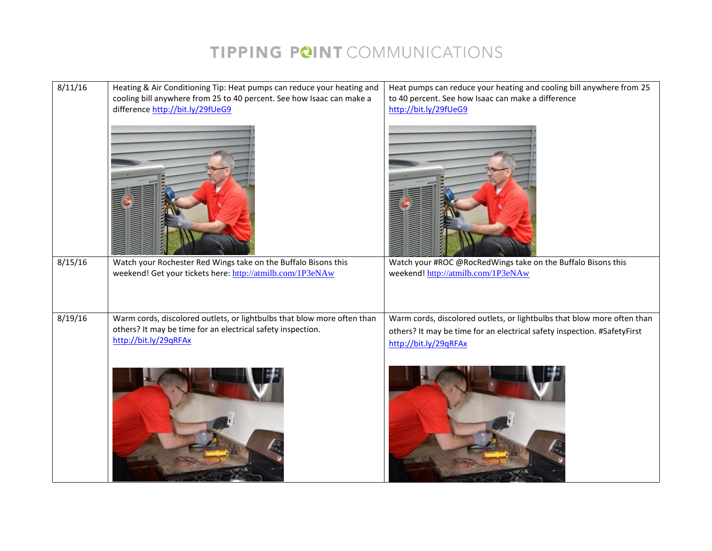| 8/11/16 | Heating & Air Conditioning Tip: Heat pumps can reduce your heating and                                                                                          | Heat pumps can reduce your heating and cooling bill anywhere from 25                                                                                                         |
|---------|-----------------------------------------------------------------------------------------------------------------------------------------------------------------|------------------------------------------------------------------------------------------------------------------------------------------------------------------------------|
|         | cooling bill anywhere from 25 to 40 percent. See how Isaac can make a                                                                                           | to 40 percent. See how Isaac can make a difference                                                                                                                           |
|         | difference http://bit.ly/29fUeG9                                                                                                                                | http://bit.ly/29fUeG9                                                                                                                                                        |
|         |                                                                                                                                                                 |                                                                                                                                                                              |
| 8/15/16 | Watch your Rochester Red Wings take on the Buffalo Bisons this                                                                                                  | Watch your #ROC @RocRedWings take on the Buffalo Bisons this                                                                                                                 |
|         | weekend! Get your tickets here: http://atmilb.com/1P3eNAw                                                                                                       | weekend! http://atmilb.com/1P3eNAw                                                                                                                                           |
| 8/19/16 | Warm cords, discolored outlets, or lightbulbs that blow more often than<br>others? It may be time for an electrical safety inspection.<br>http://bit.ly/29qRFAx | Warm cords, discolored outlets, or lightbulbs that blow more often than<br>others? It may be time for an electrical safety inspection. #SafetyFirst<br>http://bit.ly/29qRFAx |
|         |                                                                                                                                                                 |                                                                                                                                                                              |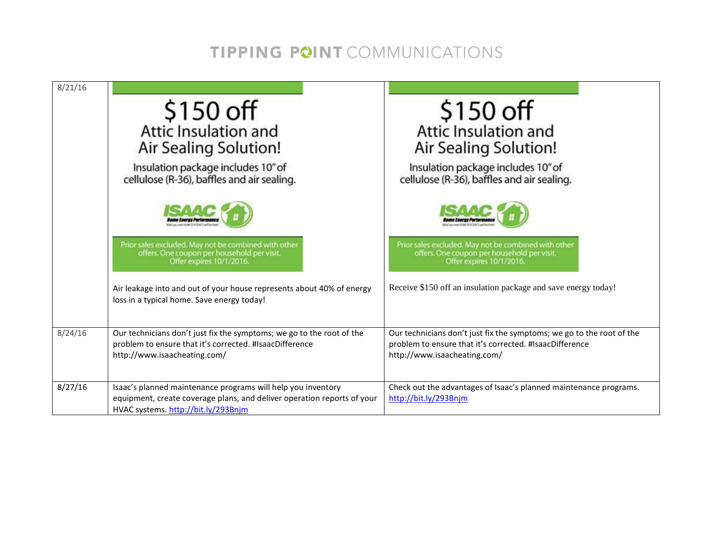| 8/21/16 |                                                                                                                                                                                |                                                                                                                                                                  |
|---------|--------------------------------------------------------------------------------------------------------------------------------------------------------------------------------|------------------------------------------------------------------------------------------------------------------------------------------------------------------|
|         | $$150$ off<br>Attic Insulation and<br>Air Sealing Solution!                                                                                                                    | $$150$ off<br>Attic Insulation and<br>Air Sealing Solution!                                                                                                      |
|         | Insulation package includes 10" of<br>cellulose (R-36), baffles and air sealing.                                                                                               | Insulation package includes 10" of<br>cellulose (R-36), baffles and air sealing.                                                                                 |
|         |                                                                                                                                                                                |                                                                                                                                                                  |
|         | Prior sales excluded. May not be combined with other<br>offers. One coupon per household per visit.<br>Offer expires 10/1/2016.                                                | Prior sales excluded. May not be combined with other<br>offers. One coupon per household per visit.<br>Offer expires 10/1/2016.                                  |
|         | Air leakage into and out of your house represents about 40% of energy<br>loss in a typical home. Save energy today!                                                            | Receive \$150 off an insulation package and save energy today!                                                                                                   |
| 8/24/16 | Our technicians don't just fix the symptoms; we go to the root of the<br>problem to ensure that it's corrected. #IsaacDifference<br>http://www.isaacheating.com/               | Our technicians don't just fix the symptoms; we go to the root of the<br>problem to ensure that it's corrected. #IsaacDifference<br>http://www.isaacheating.com/ |
| 8/27/16 | Isaac's planned maintenance programs will help you inventory<br>equipment, create coverage plans, and deliver operation reports of your<br>HVAC systems. http://bit.ly/293Bnjm | Check out the advantages of Isaac's planned maintenance programs.<br>http://bit.ly/293Bnjm                                                                       |